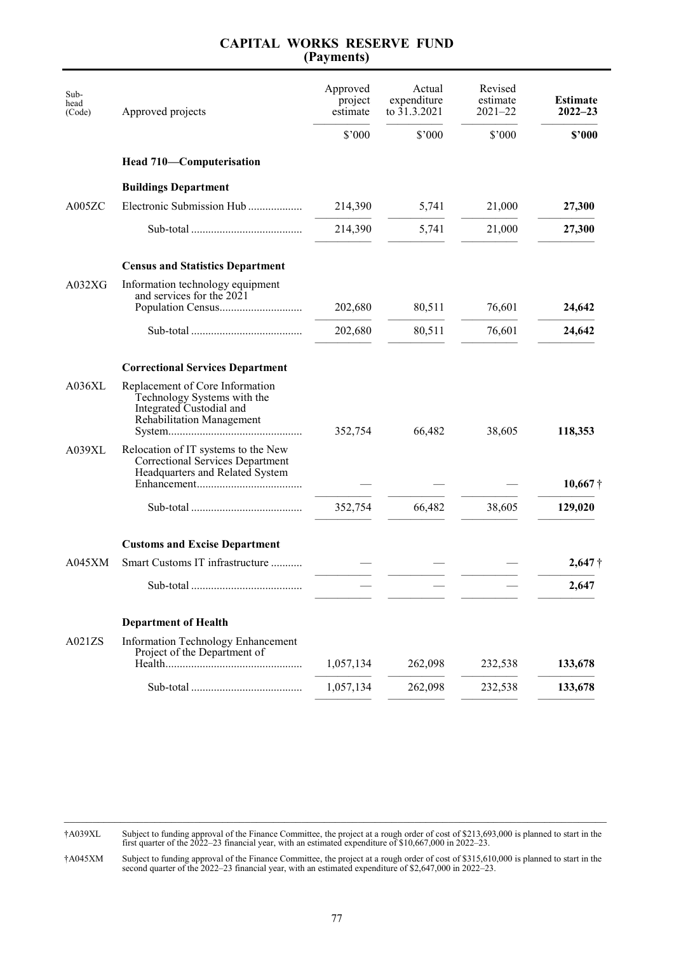| Sub-<br>head<br>(Code) | Approved projects                                                                                                              | Approved<br>project<br>estimate | Actual<br>expenditure<br>to 31.3.2021 | Revised<br>estimate<br>$2021 - 22$ | <b>Estimate</b><br>$2022 - 23$ |
|------------------------|--------------------------------------------------------------------------------------------------------------------------------|---------------------------------|---------------------------------------|------------------------------------|--------------------------------|
|                        |                                                                                                                                | \$'000                          | \$'000                                | \$'000                             | \$2000                         |
|                        | Head 710-Computerisation                                                                                                       |                                 |                                       |                                    |                                |
|                        | <b>Buildings Department</b>                                                                                                    |                                 |                                       |                                    |                                |
| A005ZC                 | Electronic Submission Hub                                                                                                      | 214,390                         | 5,741                                 | 21,000                             | 27,300                         |
|                        |                                                                                                                                | 214,390                         | 5,741                                 | 21,000                             | 27,300                         |
|                        | <b>Census and Statistics Department</b>                                                                                        |                                 |                                       |                                    |                                |
| A032XG                 | Information technology equipment<br>and services for the 2021                                                                  |                                 |                                       |                                    |                                |
|                        |                                                                                                                                | 202,680                         | 80,511                                | 76,601                             | 24,642                         |
|                        |                                                                                                                                | 202,680                         | 80,511                                | 76,601                             | 24,642                         |
|                        | <b>Correctional Services Department</b>                                                                                        |                                 |                                       |                                    |                                |
| A036XL                 | Replacement of Core Information<br>Technology Systems with the<br>Integrated Custodial and<br><b>Rehabilitation Management</b> | 352,754                         | 66,482                                | 38,605                             | 118,353                        |
| A039XL                 | Relocation of IT systems to the New<br><b>Correctional Services Department</b><br>Headquarters and Related System              |                                 |                                       |                                    | $10,667\dagger$                |
|                        |                                                                                                                                | 352,754                         | 66,482                                | 38,605                             | 129,020                        |
|                        | <b>Customs and Excise Department</b>                                                                                           |                                 |                                       |                                    |                                |
| $A045$ XM              | Smart Customs IT infrastructure                                                                                                |                                 |                                       |                                    | $2,647\dagger$                 |
|                        |                                                                                                                                |                                 |                                       |                                    | 2,647                          |
|                        | <b>Department of Health</b>                                                                                                    |                                 |                                       |                                    |                                |
| A021ZS                 | <b>Information Technology Enhancement</b><br>Project of the Department of                                                      | 1,057,134                       | 262,098                               | 232,538                            | 133,678                        |
|                        |                                                                                                                                | 1,057,134                       | 262,098                               | 232,538                            | 133,678                        |
|                        |                                                                                                                                |                                 |                                       |                                    |                                |

†A039XL Subject to funding approval of the Finance Committee, the project at a rough order of cost of \$213,693,000 is planned to start in the first quarter of the 2022–23 financial year, with an estimated expenditure of \$10,667,000 in 2022–23.

†A045XM Subject to funding approval of the Finance Committee, the project at a rough order of cost of \$315,610,000 is planned to start in the second quarter of the 2022–23 financial year, with an estimated expenditure of \$2,647,000 in 2022–23.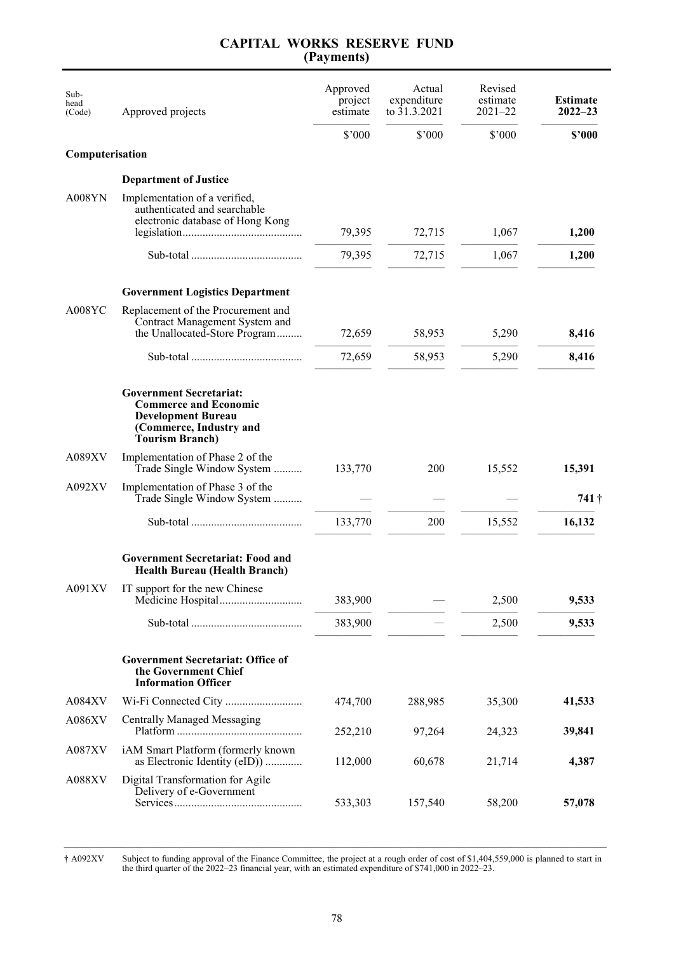| Sub-<br>head<br>(Code) | Approved projects                                                                                                                                                                     | Approved<br>project<br>estimate | Actual<br>expenditure<br>to 31.3.2021 | Revised<br>estimate<br>$2021 - 22$ | <b>Estimate</b><br>$2022 - 23$ |
|------------------------|---------------------------------------------------------------------------------------------------------------------------------------------------------------------------------------|---------------------------------|---------------------------------------|------------------------------------|--------------------------------|
|                        |                                                                                                                                                                                       | \$'000                          | \$'000                                | \$'000                             | \$2000                         |
| Computerisation        |                                                                                                                                                                                       |                                 |                                       |                                    |                                |
|                        | <b>Department of Justice</b>                                                                                                                                                          |                                 |                                       |                                    |                                |
| $A008$ YN              | Implementation of a verified,<br>authenticated and searchable<br>electronic database of Hong Kong                                                                                     | 79,395                          | 72,715                                | 1,067                              | 1,200                          |
|                        |                                                                                                                                                                                       | 79,395                          | 72,715                                | 1,067                              | 1,200                          |
|                        | <b>Government Logistics Department</b>                                                                                                                                                |                                 |                                       |                                    |                                |
| A008YC                 | Replacement of the Procurement and<br>Contract Management System and<br>the Unallocated-Store Program                                                                                 | 72,659                          | 58,953                                | 5,290                              | 8,416                          |
|                        |                                                                                                                                                                                       | 72,659                          | 58,953                                | 5,290                              | 8,416                          |
| A089XV                 | <b>Government Secretariat:</b><br><b>Commerce and Economic</b><br><b>Development Bureau</b><br>(Commerce, Industry and<br><b>Tourism Branch</b> )<br>Implementation of Phase 2 of the |                                 |                                       |                                    |                                |
|                        | Trade Single Window System                                                                                                                                                            | 133,770                         | 200                                   | 15,552                             | 15,391                         |
| A092XV                 | Implementation of Phase 3 of the<br>Trade Single Window System                                                                                                                        |                                 |                                       |                                    | 741†                           |
|                        |                                                                                                                                                                                       | 133,770                         | 200                                   | 15,552                             | 16,132                         |
|                        | <b>Government Secretariat: Food and</b><br><b>Health Bureau (Health Branch)</b>                                                                                                       |                                 |                                       |                                    |                                |
| A091XV                 | IT support for the new Chinese                                                                                                                                                        | 383,900                         |                                       | 2,500                              | 9,533                          |
|                        |                                                                                                                                                                                       | 383,900                         |                                       | 2,500                              | 9,533                          |
|                        | <b>Government Secretariat: Office of</b><br>the Government Chief<br><b>Information Officer</b>                                                                                        |                                 |                                       |                                    |                                |
| A084XV                 |                                                                                                                                                                                       | 474,700                         | 288,985                               | 35,300                             | 41,533                         |
| A086XV                 | <b>Centrally Managed Messaging</b>                                                                                                                                                    | 252,210                         | 97,264                                | 24,323                             | 39,841                         |
| A087XV                 | iAM Smart Platform (formerly known<br>as Electronic Identity (eID))                                                                                                                   | 112,000                         | 60,678                                | 21,714                             | 4,387                          |
| A088XV                 | Digital Transformation for Agile<br>Delivery of e-Government                                                                                                                          | 533,303                         | 157,540                               | 58,200                             | 57,078                         |

\_\_\_\_\_\_\_\_\_\_\_\_\_\_\_\_\_\_\_\_\_\_\_\_\_\_\_\_\_\_\_\_\_\_\_\_\_\_\_\_\_\_\_\_\_\_\_\_\_\_\_\_\_\_\_\_\_\_\_\_\_\_\_\_\_\_\_\_\_\_\_\_\_\_\_\_\_\_\_\_\_\_\_\_\_\_\_\_\_\_\_\_\_\_\_\_ † A092XV Subject to funding approval of the Finance Committee, the project at a rough order of cost of \$1,404,559,000 is planned to start in the third quarter of the 2022–23 financial year, with an estimated expenditure of \$741,000 in 2022–23.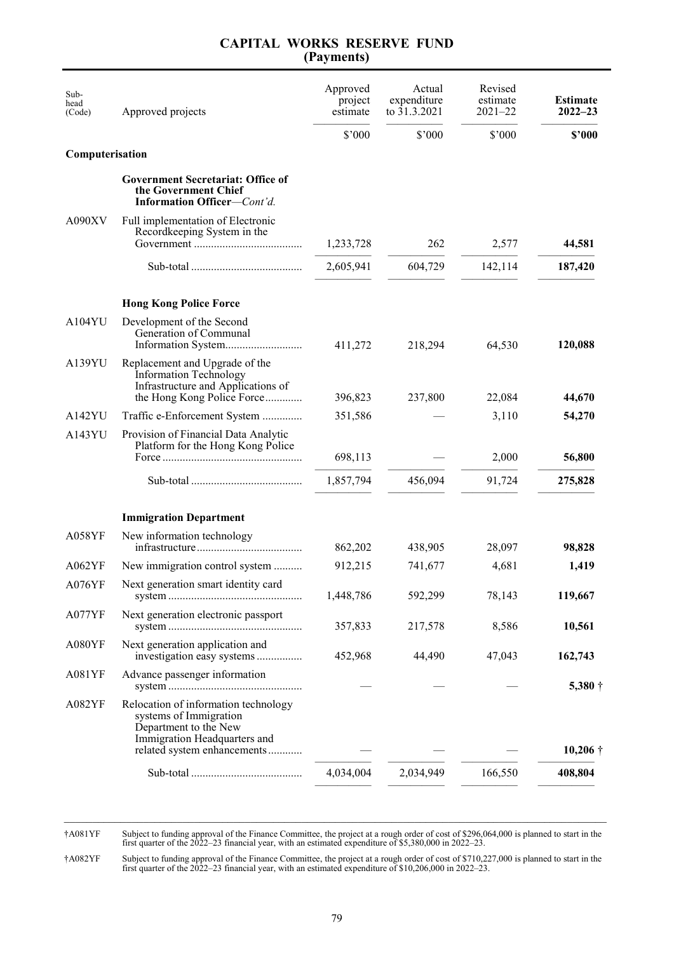| Sub-<br>head<br>(Code) | Approved projects                                                                                                                   | Approved<br>project<br>estimate | Actual<br>expenditure<br>to 31.3.2021 | Revised<br>estimate<br>$2021 - 22$ | <b>Estimate</b><br>$2022 - 23$ |
|------------------------|-------------------------------------------------------------------------------------------------------------------------------------|---------------------------------|---------------------------------------|------------------------------------|--------------------------------|
|                        |                                                                                                                                     | \$'000                          | \$'000                                | \$'000                             | \$2000                         |
| Computerisation        |                                                                                                                                     |                                 |                                       |                                    |                                |
|                        | <b>Government Secretariat: Office of</b><br>the Government Chief<br>Information Officer-Cont'd.                                     |                                 |                                       |                                    |                                |
| A090XV                 | Full implementation of Electronic<br>Recordkeeping System in the                                                                    | 1,233,728                       | 262                                   | 2,577                              | 44,581                         |
|                        |                                                                                                                                     | 2,605,941                       | 604,729                               | 142,114                            | 187,420                        |
|                        | <b>Hong Kong Police Force</b>                                                                                                       |                                 |                                       |                                    |                                |
| A104YU                 | Development of the Second<br>Generation of Communal                                                                                 | 411,272                         | 218,294                               | 64,530                             | 120,088                        |
| A139YU                 | Replacement and Upgrade of the<br><b>Information Technology</b><br>Infrastructure and Applications of<br>the Hong Kong Police Force | 396,823                         | 237,800                               | 22,084                             | 44,670                         |
| A142YU                 | Traffic e-Enforcement System                                                                                                        | 351,586                         |                                       | 3,110                              | 54,270                         |
| A143YU                 | Provision of Financial Data Analytic<br>Platform for the Hong Kong Police                                                           | 698,113                         |                                       | 2,000                              | 56,800                         |
|                        |                                                                                                                                     | 1,857,794                       | 456,094                               | 91,724                             | 275,828                        |
|                        |                                                                                                                                     |                                 |                                       |                                    |                                |
|                        | <b>Immigration Department</b>                                                                                                       |                                 |                                       |                                    |                                |
| A058YF                 | New information technology                                                                                                          | 862,202                         | 438,905                               | 28,097                             | 98,828                         |
| A062YF                 | New immigration control system                                                                                                      | 912,215                         | 741,677                               | 4,681                              | 1,419                          |
| A076YF                 | Next generation smart identity card                                                                                                 | 1,448,786                       | 592,299                               | 78,143                             | 119,667                        |
| A077YF                 | Next generation electronic passport                                                                                                 | 357,833                         | 217,578                               | 8,586                              | 10,561                         |
| A080YF                 | Next generation application and<br>investigation easy systems                                                                       | 452,968                         | 44,490                                | 47,043                             | 162,743                        |
| A081YF                 | Advance passenger information                                                                                                       |                                 |                                       |                                    | $5,380\dagger$                 |
| A082YF                 | Relocation of information technology<br>systems of Immigration<br>Department to the New<br>Immigration Headquarters and             |                                 |                                       |                                    |                                |
|                        | related system enhancements                                                                                                         |                                 |                                       |                                    | $10,206$ †                     |
|                        |                                                                                                                                     | 4,034,004                       | 2,034,949                             | 166,550                            | 408,804                        |

†A081YF Subject to funding approval of the Finance Committee, the project at a rough order of cost of \$296,064,000 is planned to start in the first quarter of the 2022–23 financial year, with an estimated expenditure of \$5,380,000 in 2022–23.

†A082YF Subject to funding approval of the Finance Committee, the project at a rough order of cost of \$710,227,000 is planned to start in the first quarter of the 2022–23 financial year, with an estimated expenditure of \$10,206,000 in 2022–23.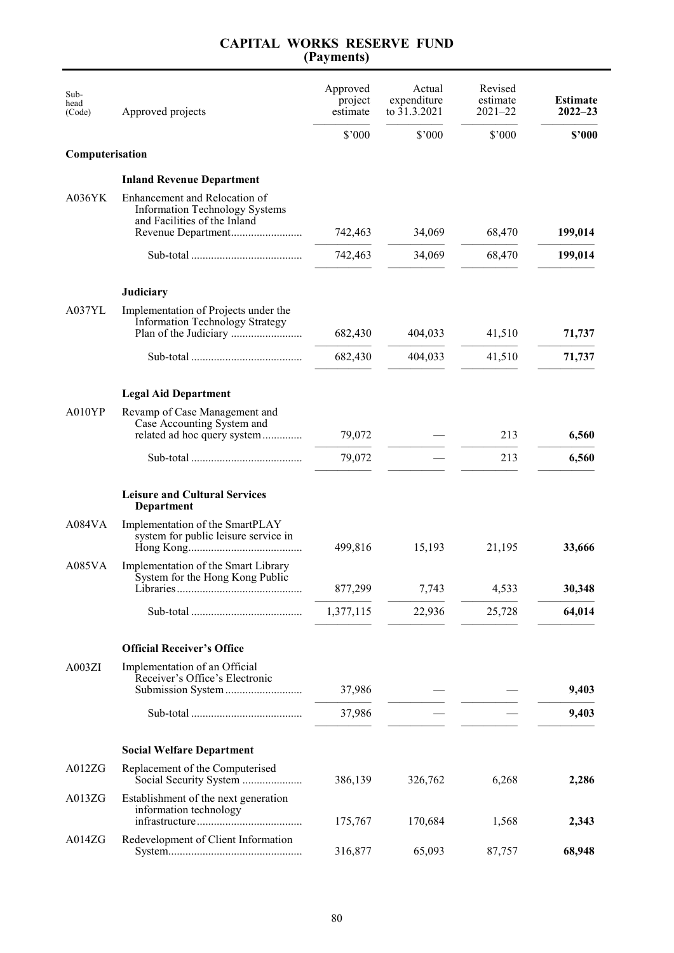| Sub-<br>head<br>(Code) | Approved projects                                                                                                            | Approved<br>project<br>estimate | Actual<br>expenditure<br>to 31.3.2021 | Revised<br>estimate<br>$2021 - 22$ | <b>Estimate</b><br>$2022 - 23$ |
|------------------------|------------------------------------------------------------------------------------------------------------------------------|---------------------------------|---------------------------------------|------------------------------------|--------------------------------|
|                        |                                                                                                                              | \$'000                          | \$'000                                | \$'000                             | \$'000                         |
| Computerisation        |                                                                                                                              |                                 |                                       |                                    |                                |
|                        | <b>Inland Revenue Department</b>                                                                                             |                                 |                                       |                                    |                                |
| A036YK                 | Enhancement and Relocation of<br><b>Information Technology Systems</b><br>and Facilities of the Inland<br>Revenue Department | 742,463                         | 34,069                                | 68,470                             | 199,014                        |
|                        |                                                                                                                              | 742,463                         | 34,069                                | 68,470                             | 199,014                        |
|                        |                                                                                                                              |                                 |                                       |                                    |                                |
|                        | <b>Judiciary</b>                                                                                                             |                                 |                                       |                                    |                                |
| A037YL                 | Implementation of Projects under the<br><b>Information Technology Strategy</b>                                               | 682,430                         | 404,033                               | 41,510                             | 71,737                         |
|                        |                                                                                                                              | 682,430                         | 404,033                               | 41,510                             | 71,737                         |
|                        | <b>Legal Aid Department</b>                                                                                                  |                                 |                                       |                                    |                                |
| A010YP                 | Revamp of Case Management and<br>Case Accounting System and<br>related ad hoc query system                                   | 79,072                          |                                       | 213                                | 6,560                          |
|                        |                                                                                                                              | 79,072                          |                                       | 213                                | 6,560                          |
|                        | <b>Leisure and Cultural Services</b><br>Department                                                                           |                                 |                                       |                                    |                                |
| A084VA                 | Implementation of the SmartPLAY<br>system for public leisure service in                                                      | 499,816                         | 15,193                                | 21,195                             | 33,666                         |
| A085VA                 | Implementation of the Smart Library<br>System for the Hong Kong Public                                                       | 877,299                         | 7,743                                 | 4,533                              | 30,348                         |
|                        |                                                                                                                              | 1,377,115                       | 22,936                                | 25,728                             | 64,014                         |
|                        | <b>Official Receiver's Office</b>                                                                                            |                                 |                                       |                                    |                                |
| A003ZI                 | Implementation of an Official<br>Receiver's Office's Electronic                                                              |                                 |                                       |                                    |                                |
|                        | Submission System                                                                                                            | 37,986<br>37,986                |                                       |                                    | 9,403<br>9,403                 |
|                        |                                                                                                                              |                                 |                                       |                                    |                                |
|                        | <b>Social Welfare Department</b>                                                                                             |                                 |                                       |                                    |                                |
| A012ZG                 | Replacement of the Computerised                                                                                              | 386,139                         | 326,762                               | 6,268                              | 2,286                          |
| A013ZG                 | Establishment of the next generation<br>information technology                                                               | 175,767                         | 170,684                               | 1,568                              | 2,343                          |
| A014ZG                 | Redevelopment of Client Information                                                                                          | 316,877                         | 65,093                                | 87,757                             | 68,948                         |